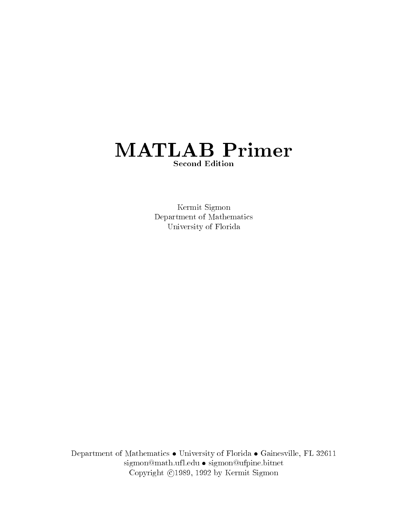# MATLAB Primer Second Edition

Kermit Sigmon Department of Mathematics University of Florida

Department of Mathematics University of Florida Gainesville, FL 32611 sigmon@math.uf l.edu sigmon@ufpine.bitnet Copyright ©1989, 1992 by Kermit Sigmon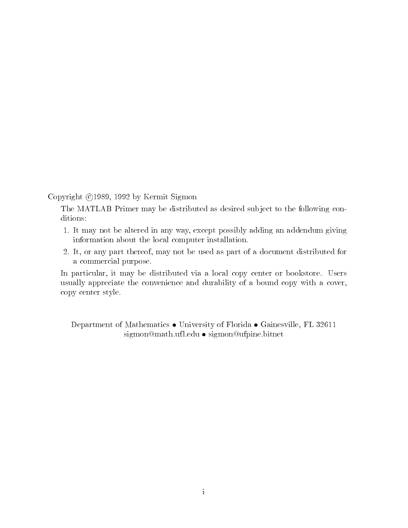Copyright C 1989, 1992 by Kermit Sigmon

The MATLAB Primer may be distributed as desired sub ject to the following conditions:

- 1. It may not be altered in any way, except possibly adding an addendum giving information about the local computer installation.
- 2. It, or any part thereof, may not be used as part of a document distributed for a commercial purpose.

In particular, it may be distributed via a local copy center or bookstore. Users usually appreciate the convenience and durability of a bound copy with a cover, copy center style.

Department of Mathematics • University of Florida • Gainesville, FL 32611 sigmon@math.ufl.edu • sigmon@ufpine.bitnet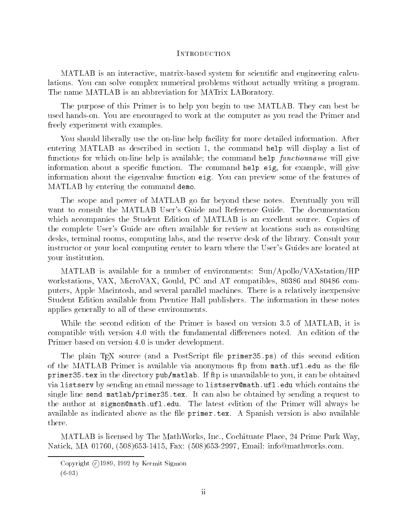#### **INTRODUCTION**

MATLAB is an interactive, matrix-based system for scientic and engineering calculations. You can solve complex numerical problems without actually writing a program. The name MATLAB is an abbreviation for MATrix LABoratory.

The purpose of this Primer is to help you begin to use MATLAB. They can best be used hands-on. You are encouraged to work at the computer as you read the Primer and freely experiment with examples.

You should liberally use the on-line help facility for more detailed information. After entering MATLAB as described in section 1, the command help will display a list of functions for which on-line help is available; the command help  $functionname$  will give information about a specic function. The command help eig, for example, will give information about the eigenvalue function eig. You can preview some of the features of MATLAB by entering the command demo.

The scope and power of MATLAB go far beyond these notes. Eventually you will want to consult the MATLAB User's Guide and Reference Guide. The documentation which accompanies the Student Edition of MATLAB is an excellent source. Copies of the complete User's Guide are often available for review at locations such as consulting desks, terminal rooms, computing labs, and the reserve desk of the library. Consult your instructor or your local computing center to learn where the User's Guides are located at your institution.

MATLAB is available for a number of environments: Sun/Apollo/VAXstation/HP workstations, VAX, MicroVAX, Gould, PC and AT compatibles, 80386 and 80486 computers, Apple Macintosh, and several parallel machines. There is a relatively inexpensive Student Edition available from Prentice Hall publishers. The information in these notes applies generally to all of these environments.

While the second edition of the Primer is based on version 3.5 of MATLAB, it is compatible with version 4.0 with the fundamental differences noted. An edition of the Primer based on version 4.0 is under development.

The plain T<sub>F</sub>X source (and a PostScript file primer35.ps) of this second edition of the MATLAB Primer is available via anonymous ftp from math.ufl.edu as the file primer35.tex in the directory pub/matlab. If ftp is unavailable to you, it can be obtained via listserv by sending an email message to listserv@math.ufl.edu which contains the single line send matlab/primer35.tex. It can also be obtained by sending a request to the author at sigmon@math.ufl.edu. The latest edition of the Primer will always be available as indicated above as the file primer.tex. A Spanish version is also available there.

MATLAB is licensed by The MathWorks, Inc., Cochituate Place, 24 Prime Park Way, Natick, MA 01760, (508)653-1415, Fax: (508)653-2997, Email: info@mathworks.com.

Copyright (c) 1989, 1992 by Kermit Sigmon (6-93)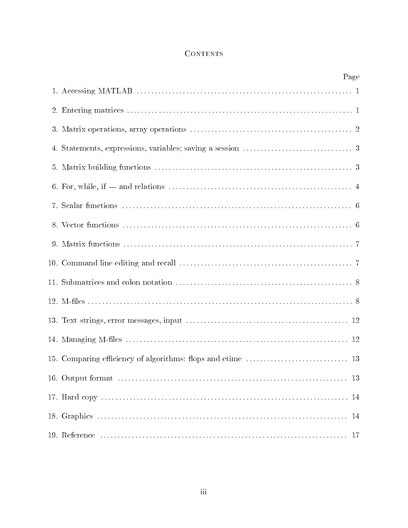## **CONTENTS**

| Page |
|------|
|      |
|      |
|      |
|      |
|      |
|      |
|      |
|      |
|      |
|      |
|      |
|      |
|      |
|      |
|      |
|      |
|      |
| 14   |
|      |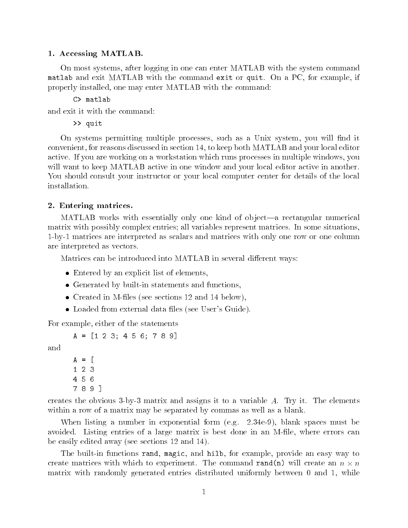#### 1. Accessing MATLAB.

On most systems, after logging in one can enter MATLAB with the system command matlab and exit MATLAB with the command exit or quit. On a PC, for example, if properly installed, one may enter MATLAB with the command:

C> matlab

and exit it with the command:

>> quit

On systems permitting multiple processes, such as a Unix system, you will find it convenient, for reasons discussed in section 14, to keep both MATLAB and your local editor active. If you are working on a workstation which runs processes in multiple windows, you will want to keep MATLAB active in one window and your local editor active in another. You should consult your instructor or your local computer center for details of the local installation.

#### 2. Entering matrices.

MATLAB works with essentially only one kind of object—a rectangular numerical matrix with possibly complex entries; all variables represent matrices. In some situations, 1-by-1 matrices are interpreted as scalars and matrices with only one row or one column are interpreted as vectors.

Matrices can be introduced into MATLAB in several different ways:

- Entered by an explicit list of elements,
- Generated by built-in statements and functions,
- Created in M-files (see sections 12 and 14 below),
- Loaded from external data files (see User's Guide).

For example, either of the statements

A = [1 2 3; 4 5 6; 7 8 9]

and

 $A = [$  $1\quad2\quad3$ 4 5 6 789]

creates the obvious  $3$ -by- $3$  matrix and assigns it to a variable A. Try it. The elements within a row of a matrix may be separated by commas as well as a blank.

When listing a number in exponential form (e.g. 2.34e-9), blank spaces must be avoided. Listing entries of a large matrix is best done in an M-file, where errors can be easily edited away (see sections 12 and 14).

The built-in functions rand, magic, and hilb, for example, provide an easy way to create matrices with with with the community of the community of the create and  $\{m\}$  will create an  $n  $\sim$$ matrix with randomly generated entries distributed uniformly between 0 and 1, while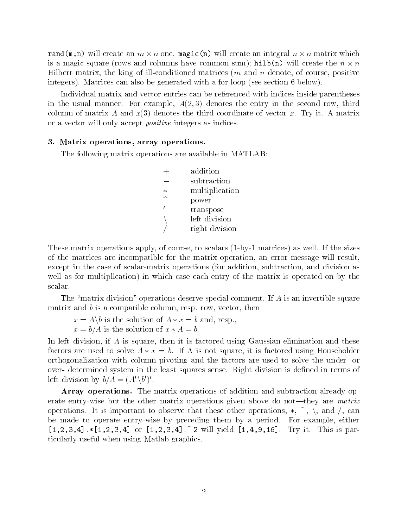rand (m,n) will create an extensive and create and integral national create and integrate an integral number o is a magic square (rows and columns have common sum ); hilb(n) will create the n - n - n - n - n - n - n - n -Hilbert matrix, the king of ill-conditioned matrices  $(m \text{ and } n \text{ denote, of course, positive})$ integers). Matrices can also be generated with a for-loop (see section 6 below).

Individual matrix and vector entries can be referenced with indices inside parentheses in the usual manner. For example,  $A(2,3)$  denotes the entry in the second row, third column of matrix A and  $x(3)$  denotes the third coordinate of vector x. Try it. A matrix or a vector will only accept positive integers as indices.

#### 3. Matrix operations, array operations.

The following matrix operations are available in MATLAB:

|                  | addition       |
|------------------|----------------|
|                  | subtraction    |
| $\frac{*}{\sim}$ | multiplication |
|                  | power          |
|                  | transpose      |
|                  | left division  |
|                  | right division |

These matrix operations apply, of course, to scalars (1-by-1 matrices) as well. If the sizes of the matrices are incompatible for the matrix operation, an error message will result, except in the case of scalar-matrix operations (for addition, subtraction, and division as well as for multiplication) in which case each entry of the matrix is operated on by the scalar.

The "matrix division" operations deserve special comment. If  $A$  is an invertible square matrix and  $b$  is a compatible column, resp. row, vector, then

 $x = A \backslash b$  is the solution of  $A * x = b$  and, resp.,

 $x = b/A$  is the solution of  $x * A = b$ .

In left division, if A is square, then it is factored using Gaussian elimination and these factors are used to solve  $A * x = b$ . If A is not square, it is factored using Householder orthogonalization with column pivoting and the factors are used to solve the under- or over- determined system in the least squares sense. Right division is defined in terms of leit division by  $\theta/A = (A \setminus 0)$ .

Array operations. The matrix operations of addition and subtraction already operate entry-wise but the other matrix operations given above do not—they are matrix operations. It is important to observe that these other operations,  $\ast$ ,  $\hat{\ }$ ,  $\mathcal{A}$ , and  $\hat{\ }$ , can be made to operate entry-wise by preceding them by a period. For example, either  $[1,2,3,4]$ .\* $[1,2,3,4]$  or  $[1,2,3,4]$ .  $\hat{ }$  2 will yield  $[1,4,9,16]$ . Try it. This is particularly useful when using Matlab graphics.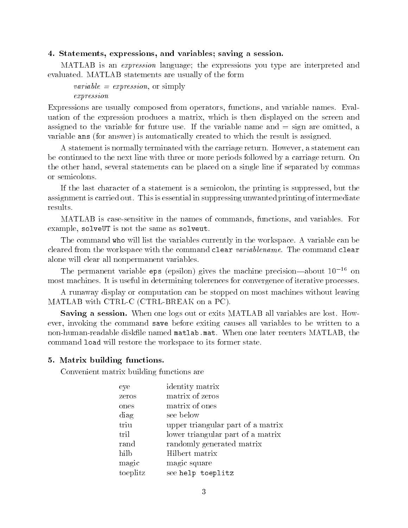#### 4. Statements, expressions, and variables; saving a session.

MATLAB is an expression language; the expressions you type are interpreted and evaluated. MATLAB statements are usually of the form

 $variable = expression, or simply$ expression

Expressions are usually composed from operators, functions, and variable names. Evaluation of the expression produces a matrix, which is then displayed on the screen and assigned to the variable for future use. If the variable name and = sign are omitted, a variable ans (for answer) is automatically created to which the result is assigned.

A statement is normally terminated with the carriage return. However, a statement can be continued to the next line with three or more periods followed by a carriage return. On the other hand, several statements can be placed on a single line if separated by commas or semicolons.

If the last character of a statement is a semicolon, the printing is suppressed, but the assignment is carried out. This is essential in suppressing unwanted printing of intermediate

MATLAB is case-sensitive in the names of commands, functions, and variables. For example, solveUT is not the same as solveut.

The command who will list the variables currently in the workspace. A variable can be cleared from the workspace with the command clear *variablename*. The command clear alone will clear all nonpermanent variables.

The permanent variable eps (epsilon) gives the machine precision—about  $10^{-16}$  on most machines. It is useful in determining tolerences for convergence of iterative processes.

A runaway display or computation can be stopped on most machines without leaving MATLAB with CTRL-C (CTRL-BREAK on a PC).

Saving a session. When one logs out or exits MATLAB all variables are lost. However, invoking the command save before exiting causes all variables to be written to a non-human-readable diskle named matlab.mat. When one later reenters MATLAB, the command load will restore the workspace to its former state.

#### 5. Matrix building functions.

Convenient matrix building functions are

| eve      | identity matrix                   |
|----------|-----------------------------------|
| zeros    | matrix of zeros                   |
| ones     | matrix of ones                    |
| diag     | see below                         |
| triu     | upper triangular part of a matrix |
| tril     | lower triangular part of a matrix |
| rand     | randomly generated matrix         |
| hilb     | Hilbert matrix                    |
| magic    | magic square                      |
| toeplitz | see help toeplitz                 |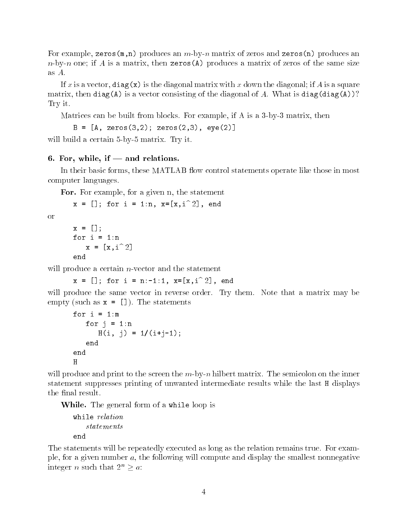For example,  $\text{zeros}(m,n)$  produces an m-by-n matrix of zeros and  $\text{zeros}(n)$  produces an n-by-n one; if A is a matrix, then  $\mathsf{zeros}(A)$  produces a matrix of zeros of the same size as A.

If x is a vector,  $diag(x)$  is the diagonal matrix with x down the diagonal; if A is a square matrix, then  $diag(A)$  is a vector consisting of the diagonal of A. What is  $diag(diag(A))$ ? Try it.

Matrices can be built from blocks. For example, if A is a 3-by-3 matrix, then

 $B = [A, zeros(3, 2); zeros(2, 3), eye(2)]$ 

will build a certain 5-by-5 matrix. Try it.

#### 6. For, while, if  $-$  and relations.

In their basic forms, these  $\operatorname{MATLAB}$  flow control statements operate like those in most computer languages.

For. For example, for a given n, the statement

```
x = []; for i = 1:n, x=[x,i^2], end
```
or

```
x = [];
for i = 1:nx = [x, i^2]end
```
will produce a certain  $n$ -vector and the statement

 $x = []$ ; for  $i = n:-1:1$ ,  $x=[x,i^2],$  end

will produce the same vector in reverse order. Try them. Note that a matrix may be empty (such as  $x = []$ ). The statements

```
for i = 1:mfor j = 1:nH(i, i) = 1/(i+j-1);end
end
Η
```
will produce and print to the screen the  $m$ -by-n hilbert matrix. The semicolon on the inner statement suppresses printing of unwanted intermediate results while the last H displays the final result.

While. The general form of a while loop is

```
while relation
   statements
end
```
The statements will be repeatedly executed as long as the relation remains true. For example, for a given number  $a$ , the following will compute and display the smallest nonnegative integer *n* such that  $2^n > a$ :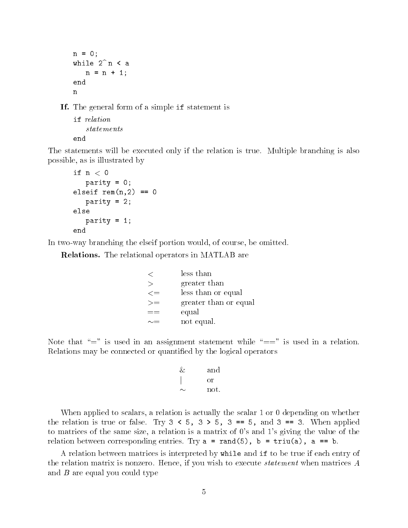```
n = 0;while 2^{\hat{}} n < a
   n = n + 1;end
n
```
If. The general form of a simple if statement is

```
if relation
   statements
```
The statements will be executed only if the relation is true. Multiple branching is also possible, as is illustrated by

```
if n < 0parity = 0;
elseif rem(n, 2) == 0parity = 2;else
   parity = 1;
end
```
In two-way branching the elseif portion would, of course, be omitted.

Relations. The relational operators in MATLAB are

|      | less than             |
|------|-----------------------|
| ↘    | greater than          |
| $<=$ | less than or equal    |
| $>=$ | greater than or equal |
|      | equal                 |
|      | not equal.            |

Note that "=" is used in an assignment statement while "==" is used in a relation. Relations may be connected or quantied by the logical operators

$$
\begin{array}{ccc}\n&\&\text{and} \\
&\circ & \text{or} \\
&\sim & \text{not.} \n\end{array}
$$

When applied to scalars, a relation is actually the scalar 1 or 0 depending on whether the relation is true or false. Try  $3 \lt 5$ ,  $3 \gt 5$ ,  $3 == 5$ , and  $3 == 3$ . When applied to matrices of the same size, a relation is a matrix of 0's and 1's giving the value of the relation between corresponding entries. Try  $a = \text{rand}(5)$ ,  $b = \text{trial}(a)$ ,  $a == b$ .

A relation between matrices is interpreted by while and if to be true if each entry of the relation matrix is nonzero. Hence, if you wish to execute statement when matrices A and  $B$  are equal you could type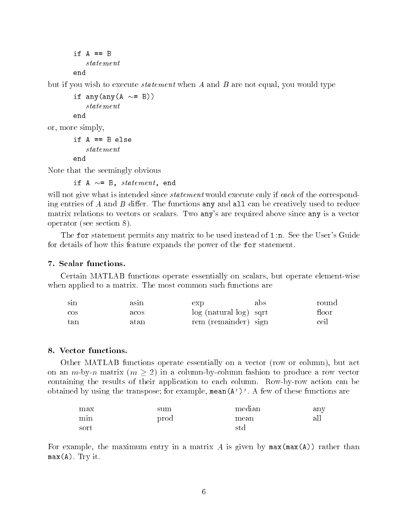```
if A == Bstatement
end
```
but if you wish to execute *statement* when  $A$  and  $B$  are not equal, you would type

```
if any(any(A \sim= B))
   statement
end
```
or, more simply,

```
if A == B else
   statementend
```
Note that the seemingly obvious

if  $A \sim = B$ , statement, end

will not give what is intended since *statement* would execute only if each of the corresponding entries of  $A$  and  $B$  differ. The functions any and all can be creatively used to reduce matrix relations to vectors or scalars. Two any's are required above since any is a vector operator (see section 8).

The for statement permits any matrix to be used instead of 1:n. See the User's Guide for details of how this feature expands the power of the for statement.

Certain MATLAB functions operate essentially on scalars, but operate element-wise when applied to a matrix. The most common such functions are

| sın    | asın | exp                      | abs | round |
|--------|------|--------------------------|-----|-------|
| $\cos$ | acos | $log (natural log)$ sqrt |     | floor |
| $\tan$ | atan | rem (remainder) sign     |     | ceil  |

#### 8. Vector functions.

Other MATLAB functions operate essentially on a vector (row or column), but act on an  $m$ -by-n matrix  $(m \geq 2)$  in a column-by-column fashion to produce a row vector containing the results of their application to each column. Row-by-row action can be obtained by using the transpose; for example,  $\text{mean}(A')'$ . A few of these functions are

| max  | sum  | median | any |
|------|------|--------|-----|
| min  | prod | mean   | all |
| sort |      | std    |     |

For example, the maximum entry in a matrix A is given by  $max(max(A))$  rather than  $max(A)$ . Try it.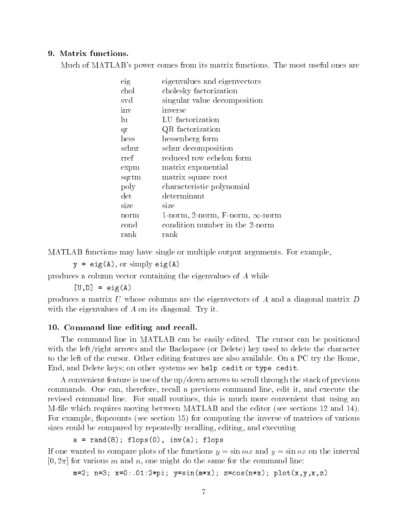#### 9. Matrix functions.

Much of MATLAB's power comes from its matrix functions. The most useful ones are

| eig          | eigenvalues and eigenvectors           |
|--------------|----------------------------------------|
| chol         | cholesky factorization                 |
| svd          | singular value decomposition           |
| inv          | inverse                                |
| lu           | LU factorization                       |
| $q_{r}$      | QR factorization                       |
| hess         | hessenberg form                        |
| schur        | schur decomposition                    |
| rref         | reduced row echelon form               |
| expm         | matrix exponential                     |
| $sqrt{sqrt}$ | matrix square root                     |
| poly         | characteristic polynomial              |
| det          | determinant                            |
| size         | size                                   |
| norm         | 1-norm, 2-norm, F-norm, $\infty$ -norm |
| cond         | condition number in the 2-norm         |
| rank         | rank                                   |

MATLAB functions may have single or multiple output arguments. For example,

 $y = eig(A)$ , or simply eig(A)

produces a column vector containing the eigenvalues of A while

 $[U,D] = eig(A)$ 

produces a matrix U whose columns are the eigenvectors of  $A$  and a diagonal matrix  $D$ with the eigenvalues of A on its diagonal. Try it.

#### 10. Command line editing and recall.

The command line in MATLAB can be easily edited. The cursor can be positioned with the left/right arrows and the Backspace (or Delete) key used to delete the character to the left of the cursor. Other editing features are also available. On a PC try the Home, End, and Delete keys; on other systems see help cedit or type cedit.

A convenient feature is use of the up/down arrows to scroll through the stack of previous commands. One can, therefore, recall a previous command line, edit it, and execute the revised command line. For small routines, this is much more convenient that using an M-file which requires moving between MATLAB and the editor (see sections 12 and 14). For example, flopcounts (see section 15) for computing the inverse of matrices of various sizes could be compared by repeatedly recalling, editing, and executing

 $a = rand(8); flops(0), inv(a); flops$ 

If one wanted to compare plots of the functions  $y = \sin mx$  and  $y = \sin nx$  on the interval  $[0, 2\pi]$  for various m and n, one might do the same for the command line:

 $m=2$ ;  $n=3$ ;  $x=0:01:2*pi$ ;  $y=sin(m*x)$ ;  $z=cos(n*x)$ ;  $plot(x,y,x,z)$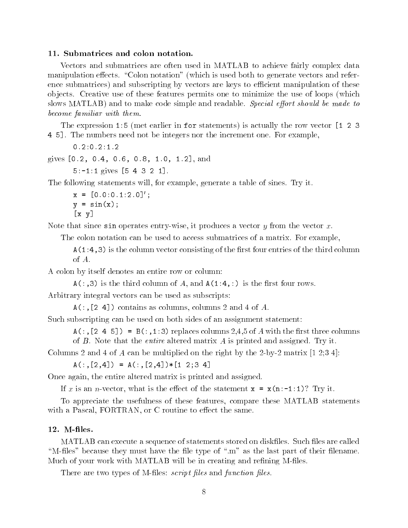#### 11. Submatrices and colon notation.

Vectors and submatrices are often used in MATLAB to achieve fairly complex data manipulation effects. "Colon notation" (which is used both to generate vectors and reference submatrices) and subscripting by vectors are keys to efficient manipulation of these ob jects. Creative use of these features permits one to minimize the use of loops (which slows MATLAB) and to make code simple and readable. Special effort should be made to become familiar with them.

The expression 1:5 (met earlier in for statements) is actually the row vector [1 2 3 4 5]. The numbers need not be integers nor the increment one. For example,

0.2:0.2:1.2

gives [0.2, 0.4, 0.6, 0.8, 1.0, 1.2], and

5:-1:1 gives [5 4 3 2 1].

The following statements will, for example, generate a table of sines. Try it.

```
x = [0.0:0.1:2.0]';
y = sin(x);[x \ y]
```
Note that since sin operates entry-wise, it produces a vector y from the vector  $x$ .

The colon notation can be used to access submatrices of a matrix. For example,

 $A(1:4,3)$  is the column vector consisting of the first four entries of the third column of A.

A colon by itself denotes an entire row or column:

 $A(.3)$  is the third column of A, and  $A(1:4,:)$  is the first four rows.

Arbitrary integral vectors can be used as subscripts:

 $A(:,[2 4])$  contains as columns, columns 2 and 4 of A.

Such subscripting can be used on both sides of an assignment statement:

 $A(:, [2 4 5]) = B(:, 1:3)$  replaces columns 2,4,5 of A with the first three columns of  $B$ . Note that the *entire* altered matrix  $A$  is printed and assigned. Try it.

Columns 2 and 4 of A can be multiplied on the right by the 2-by-2 matrix  $[1\ 2;3\ 4]$ :

 $A(:,[2,4]) = A(:,[2,4]) * [1 2;3 4]$ 

Once again, the entire altered matrix is printed and assigned.

If x is an n-vector, what is the effect of the statement  $x = x(n:-1:1)$ ? Try it.

To appreciate the usefulness of these features, compare these MATLAB statements with a Pascal, FORTRAN, or C routine to effect the same.

#### 12. M-files.

 $\rm MATLAB$  can execute a sequence of statements stored on diskfiles. Such files are called "M-files" because they must have the file type of ".m" as the last part of their filename. Much of your work with MATLAB will be in creating and refining M-files.

There are two types of M-files:  $script$  files and function files.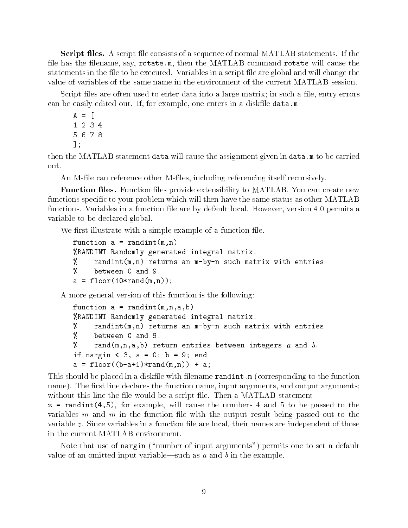**Script files.** A script file consists of a sequence of normal MATLAB statements. If the file has the filename, say, rotate.m, then the  $MATLAB$  command rotate will cause the statements in the file to be executed. Variables in a script file are global and will change the value of variables of the same name in the environment of the current MATLAB session.

Script files are often used to enter data into a large matrix; in such a file, entry errors can be easily edited out. If, for example, one enters in a diskfile data.m

 $A = \Gamma$ A=[  $1\ 2\ 3\ 4$ 5678 ];

then the MATLAB statement data will cause the assignment given in data.m to be carried out.

An M-file can reference other M-files, including referencing itself recursively.

**Function files.** Function files provide extensibility to MATLAB. You can create new functions specific to your problem which will then have the same status as other MATLAB functions. Variables in a function file are by default local. However, version 4.0 permits a variable to be declared global.

We first illustrate with a simple example of a function file.

```
function a = \text{randint}(m, n)%RANDINT Randomly generated integral matrix.
%
     randint(m,n) returns an m-by-n such matrix with entries
%
     between 0 and 9.
a = floor(10*rand(m,n));
```
A more general version of this function is the following:

```
function a = \text{randint}(m, n, a, b)%RANDINT Randomly generated integral matrix.
% randint(m,n) returns an m-by-n such matrix with entries
%
     between 0 and 9.
%
     rand(m,n,a,b) return entries between integers a and b.
if nargin < 3, a = 0; b = 9; end
a = floor((b-a+1)*rand(m,n)) + a;
```
This should be placed in a diskfile with filename randint.  $m$  (corresponding to the function name). The first line declares the function name, input arguments, and output arguments; without this line the file would be a script file. Then a MATLAB statement

 $z = \text{randint}(4,5)$ , for example, will cause the numbers 4 and 5 to be passed to the variables m and m in the function file with the output result being passed out to the variable  $z$ . Since variables in a function file are local, their names are independent of those in the current MATLAB environment.

Note that use of nargin ("number of input arguments") permits one to set a default value of an omitted input variable—such as  $a$  and  $b$  in the example.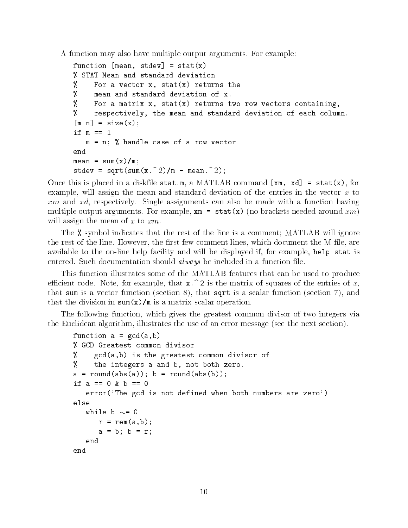A function may also have multiple output arguments. For example:

```
function [mean, stdev] = stat(x)\mathcal{L} state deviation deviation deviation deviation deviation deviation deviation deviation deviation deviation deviation of \mathcal{L}% For a vector x, stat(x) returns the
%
      mean and standard deviation of x.
%
      For a matrix x, stat(x) returns two row vectors containing,
% respectively, the mean and standard deviation of each column.
[m n] = size(x);m = n; % handle case of a row vector
end
mean = sum(x)/m;stdev = sqrt(sum(x.^2)/m - mean.^2);
```
Once this is placed in a diskfile stat.m, a MATLAB command  $[\texttt{xm}, \texttt{xd}] = \texttt{stat}(\texttt{x})$ , for example, will assign the mean and standard deviation of the entries in the vector  $x$  to  $xm$  and  $xd$ , respectively. Single assignments can also be made with a function having multiple output arguments. For example,  $x_m = \text{stat}(x)$  (no brackets needed around  $xm$ ) will assign the mean of  $x$  to  $xm$ .

The % symbol indicates that the rest of the line is a comment; MATLAB will ignore the rest of the line. However, the first few comment lines, which document the M-file, are available to the on-line help facility and will be displayed if, for example, help stat is entered. Such documentation should *always* be included in a function file.

This function illustrates some of the MATLAB features that can be used to produce efficient code. Note, for example, that  $x \cdot \hat{ }$  2 is the matrix of squares of the entries of x, that sum is a vector function (section 8), that sqrt is a scalar function (section 7), and that the division in  $sum(x)/m$  is a matrix-scalar operation.

The following function, which gives the greatest common divisor of two integers via the Euclidean algorithm, illustrates the use of an error message (see the next section).

```
function a = \text{gcd}(a, b)% GCD Greatest common divisor
% gcd(a,b) is the greatest common divisor of
%
     the integers a and b, not both zero.
a = round(abs(a)); b = round(abs(b));if a == 0 & b == 0error('The gcd is not defined when both numbers are zero')
else
   while b \sim = 0
      r = \text{rem}(a, b);
      a = b; b = r;
```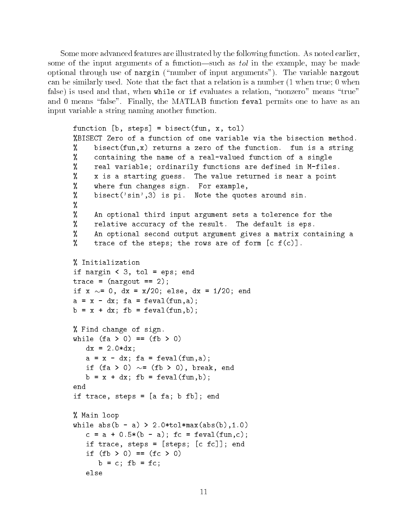Some more advanced features are illustrated by the following function. As noted earlier, some of the input arguments of a function—such as tol in the example, may be made optional through use of nargin ("number of input arguments"). The variable nargout can be similarly used. Note that the fact that a relation is a number (1 when true; 0 when false) is used and that, when while or if evaluates a relation, "nonzero" means "true" and 0 means "false". Finally, the MATLAB function feval permits one to have as an input variable a string naming another function.

```
function [b, steps] = bisect(fun, x, tol)
%BISECT Zero of a function of one variable via the bisection method.
%
     bisect(fun,x) returns a zero of the function. fun is a string
% containing the name of a real-valued function of a single
%
     real variable; ordinarily functions are defined in M-files.
% x is a starting guess. The value returned is near a point
% where fun changes sign. For example,
% bisect('sin',3) is pi. Note the quotes around sin.
%
% An optional third input argument sets a tolerence for the
% relative accuracy of the result. The default is eps.
% An optional second output argument gives a matrix containing a
%
     trace of the steps; the rows are of form [c f(c)].
% Initialization
if nargin < 3, tol = eps; end
trace = (nargout == 2);
if x \sim = 0, dx = x/20; else, dx = 1/20; end
a = x - dx; fa = feval(fun,a);
b = x + dx; fb = feval(fun,b);
% Find change of sign.
while (fa > 0) == (fb > 0)dx = 2.0 * dx;a = x - dx; fa = feval(fun,a);
   if (fa > 0) \sim = (fb > 0), break, end
   b = x + dx; fb = feval(fun,b);
end
if trace, steps = [a fa; b fb]; end
% Main loop
while abs(b - a) > 2.0*tol*max(abs(b), 1.0)c = a + 0.5*(b - a); fc = feval(fun,c);
   if trace, steps = [steps; [c fc]]; end
   if (fb > 0) == (fc > 0)b = c; fb = fc;
   else
```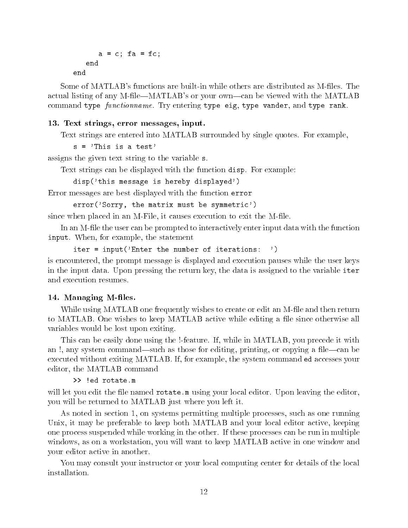$a = c$ ; fa = fc; end end

Some of MATLAB's functions are built-in while others are distributed as M-files. The actual listing of any M-file—MATLAB's or your own—can be viewed with the MATLAB command type functionname. Try entering type eig, type vander, and type rank.

#### 13. Text strings, error messages, input.

Text strings are entered into MATLAB surrounded by single quotes. For example,

 $s = 'This is a test'$ 

assigns the given text string to the variable s.

Text strings can be displayed with the function disp. For example:

```
disp('this message is hereby displayed')
```
Error messages are best displayed with the function error

error('Sorry, the matrix must be symmetric')

since when placed in an M-File, it causes execution to exit the M-file.

In an M-file the user can be prompted to interactively enter input data with the function input. When, for example, the statement

```
iter = input('Enter the number of iterations: ')
```
is encountered, the prompt message is displayed and execution pauses while the user keys in the input data. Upon pressing the return key, the data is assigned to the variable iter and execution resumes.

#### 14. Managing M-files.

While using MATLAB one frequently wishes to create or edit an M-file and then return to MATLAB. One wishes to keep MATLAB active while editing a file since otherwise all variables would be lost upon exiting.

This can be easily done using the !-feature. If, while in MATLAB, you precede it with an  $\mathcal{L}$ , any system command—such as those for editing, printing, or copying a file—can be executed without exiting MATLAB. If, for example, the system command ed accesses your editor, the MATLAB command

>> !ed rotate.m

will let you edit the file named rotate.m using your local editor. Upon leaving the editor, you will be returned to MATLAB just where you left it.

As noted in section 1, on systems permitting multiple processes, such as one running Unix, it may be preferable to keep both MATLAB and your local editor active, keeping one process suspended while working in the other. If these processes can be run in multiple windows, as on a workstation, you will want to keep MATLAB active in one window and your editor active in another.

You may consult your instructor or your local computing center for details of the local installation.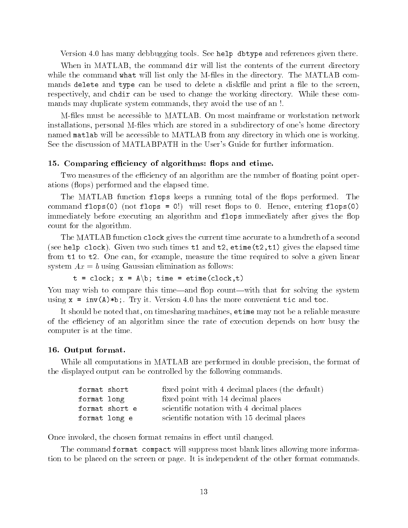Version 4.0 has many debbugging tools. See help dbtype and references given there.

When in MATLAB, the command dir will list the contents of the current directory while the command what will list only the M-files in the directory. The MATLAB commands delete and type can be used to delete a diskfile and print a file to the screen, respectively, and chdir can be used to change the working directory. While these commands may duplicate system commands, they avoid the use of an !.

M-les must be accessible to MATLAB. On most mainframe or workstation network installations, personal M-les which are stored in a subdirectory of one's home directory named matlab will be accessible to MATLAB from any directory in which one is working. See the discussion of MATLABPATH in the User's Guide for further information.

#### 15. Comparing efficiency of algorithms: flops and etime.

Two measures of the efficiency of an algorithm are the number of floating point operations (flops) performed and the elapsed time.

The MATLAB function flops keeps a running total of the flops performed. The command  $flops(0)$  (not  $flops = 0!)$  will reset flops to 0. Hence, entering  $flops(0)$ immediately before executing an algorithm and flops immediately after gives the flop count for the algorithm.

The MATLAB function clock gives the current time accurate to a hundreth of a second (see help clock). Given two such times  $t1$  and  $t2$ ,  $e$ time( $t2$ , $t1$ ) gives the elapsed time from t1 to t2. One can, for example, measure the time required to solve a given linear system  $Ax = b$  using Gaussian elimination as follows:

 $t = clock; x = A\b; time = etime(clock,t)$ 

You may wish to compare this time—and flop count—with that for solving the system using  $x = inv(A)*b$ ; Try it. Version 4.0 has the more convenient tic and toc.

It should be noted that, on timesharing machines, etime may not be a reliable measure of the efficiency of an algorithm since the rate of execution depends on how busy the computer is at the time.

#### 16. Output format.

While all computations in MATLAB are performed in double precision, the format of the displayed output can be controlled by the following commands.

| format short   | fixed point with 4 decimal places (the default) |
|----------------|-------------------------------------------------|
| format long    | fixed point with 14 decimal places              |
| format short e | scientific notation with 4 decimal places       |
| format long e  | scientific notation with 15 decimal places      |

Once invoked, the chosen format remains in effect until changed.

The command format compact will suppress most blank lines allowing more information to be placed on the screen or page. It is independent of the other format commands.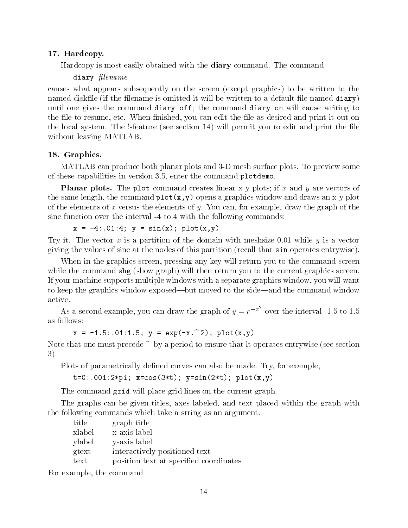### 17. Hardcopy.

Hardcopy is most easily obtained with the **diary** command. The command

#### diary *filename*

causes what appears subsequently on the screen (except graphics) to be written to the named diskfile (if the filename is omitted it will be written to a default file named diary) until one gives the command diary off; the command diary on will cause writing to the file to resume, etc. When finished, you can edit the file as desired and print it out on the local system. The !-feature (see section 14) will permit you to edit and print the file without leaving MATLAB.

#### 18. Graphics.

MATLAB can produce both planar plots and 3-D mesh surface plots. To preview some of these capabilities in version 3.5, enter the command plotdemo.

**Planar plots.** The plot command creates linear x-y plots; if x and y are vectors of the same length, the command  $plot(x,y)$  opens a graphics window and draws an x-y plot of the elements of x versus the elements of y. You can, for example, draw the graph of the sine function over the interval -4 to 4 with the following commands:

$$
x = -4: .01:4; y = sin(x); plot(x,y)
$$

Try it. The vector x is a partition of the domain with meshsize 0.01 while y is a vector giving the values of sine at the nodes of this partition (recall that sin operates entrywise).

When in the graphics screen, pressing any key will return you to the command screen while the command shg (show graph) will then return you to the current graphics screen. If your machine supports multiple windows with a separate graphics window, you will want to keep the graphics window exposed—but moved to the side—and the command window active.

As a second example, you can draw the graph of  $y = e^{-x^2}$  over the interval -1.5 to 1.5 as follows:

$$
x = -1.5: .01:1.5; y = exp(-x.^2); plot(x,y)
$$

Note that one must precede  $\hat{ }$  by a period to ensure that it operates entrywise (see section 3).

Plots of parametrically defined curves can also be made. Try, for example,

 $t=0:001:2*pi; x=cos(3*t); y=sin(2*t); plot(x,y)$ 

The command grid will place grid lines on the current graph.

The graphs can be given titles, axes labeled, and text placed within the graph with the following commands which take a string as an argument.

| title        | graph title                            |
|--------------|----------------------------------------|
| xlabel       | x-axis label                           |
| ylabel       | y-axis label                           |
| gtext        | interactively-positioned text          |
| $text{text}$ | position text at specified coordinates |

For example, the command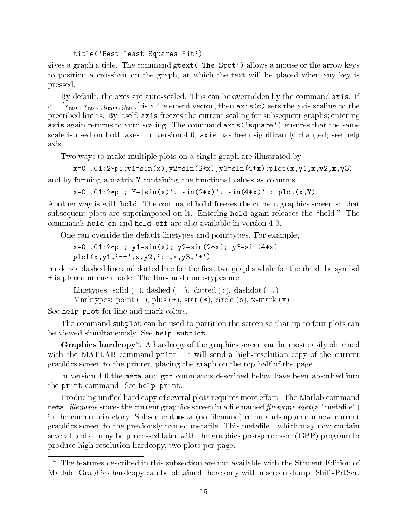#### title('Best Least Squares Fit')

gives a graph a title. The command gtext('The Spot') allows a mouse or the arrow keys to position a crosshair on the graph, at which the text will be placed when any key is pressed.

By default, the axes are auto-scaled. This can be overridden by the command axis. If  $c = [x_{\min}, x_{\max}, y_{\min}, y_{\max}]$  is a 4-element vector, then  $axis(c)$  sets the axis scaling to the precribed limits. By itself, axis freezes the current scaling for subsequent graphs; entering axis again returns to auto-scaling. The command axis ('square') ensures that the same scale is used on both axes. In version 4.0, axis has been signicantly changed; see help axis.

Two ways to make multiple plots on a single graph are illustrated by

```
x=0:01:2*pi;y1=sin(x);y2=sin(2*x);y3=sin(4*x);plot(x,y1,x,y2,x,y3)and by forming a matrix Y containing the functional values as columns
```
 $x=0:01:2*pi; Y=[sin(x)', sin(2*x)', sin(4*x)']; plot(x,Y)$ 

Another way is with hold. The command hold freezes the current graphics screen so that subsequent plots are superimposed on it. Entering hold again releases the "hold." The commands hold on and hold off are also available in version 4.0.

One can override the default linetypes and pointtypes. For example,

```
x=0:01:2*pi; y1=sin(x); y2=sin(2*x); y3=sin(4*x);plot(x,y1,'--',x,y2,'::',x,y3,'+')
```
renders a dashed line and dotted line for the first two graphs while for the third the symbol + is placed at each node. The line- and mark-types are

Linetypes: solid  $(-)$ , dashed  $(-)$ . dotted  $( \cdot )$ , dashed  $(-)$ .

```
Marktypes: point (.), plus (+), star (*), circle (o), x-mark (x)
```
See help plot for line and mark colors.

The command subplot can be used to partition the screen so that up to four plots can be viewed simultaneously. See help subplot.

Graphics hardcopy . A hardcopy of the graphics screen can be most easily obtained with the MATLAB command print. It will send a high-resolution copy of the current graphics screen to the printer, placing the graph on the top half of the page.

In version 4.0 the meta and gpp commands described below have been absorbed into the print command. See help print.

Producing unified hard copy of several plots requires more effort. The Matlab command meta filename stores the current graphics screen in a file named filename. met (a "metafile") in the current directory. Subsequent meta (no filename) commands append a new current graphics screen to the previously named metafile. This metafile—which may now contain several plots—may be processed later with the graphics post-processor  $(GPP)$  program to produce high-resolution hardcopy, two plots per page.

The features described in this subsection are not available with the Student Edition of Matlab. Graphics hardcopy can be obtained there only with a screen dump: Shift-PrtScr.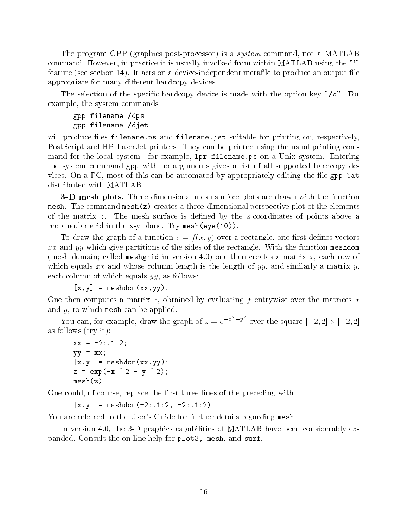The program GPP (graphics post-processor) is a *system* command, not a MATLAB command. However, in practice it is usually involked from within MATLAB using the "!" feature (see section 14). It acts on a device-independent metafile to produce an output file appropriate for many different hardcopy devices.

The selection of the specic hardcopy device is made with the option key "/d". For example, the system commands

gpp filename /dps gpp filename /djet

will produce files filename.ps and filename.jet suitable for printing on, respectively, PostScript and HP LaserJet printers. They can be printed using the usual printing command for the local system—for example, lpr filename.ps on a Unix system. Entering the system command gpp with no arguments gives a list of all supported hardcopy devices. On a PC, most of this can be automated by appropriately editing the file gpp.bat distributed with MATLAB.

**3-D mesh plots.** Three dimensional mesh surface plots are drawn with the function mesh. The command mesh $(z)$  creates a three-dimensional perspective plot of the elements of the matrix  $z$ . The mesh surface is defined by the z-coordinates of points above a rectangular grid in the x-y plane. Try mesh(eye(10)).

To draw the graph of a function  $z = f(x, y)$  over a rectangle, one first defines vectors  $xx$  and yy which give partitions of the sides of the rectangle. With the function meshdom (mesh domain; called meshgrid in version 4.0) one then creates a matrix  $x$ , each row of which equals xx and whose column length is the length of  $yy$ , and similarly a matrix y, each column of which equals  $yy$ , as follows:

 $[x, y] =$  meshdom $(xx, yy)$ ;

One then computes a matrix z, obtained by evaluating f entrywise over the matrices x and  $y$ , to which mesh can be applied.

You can, for example, draw the graph of  $z = e^{-x^2-y^2}$  or over the square [2; 2] - [2; 2] as follows (try it):

```
xx = -2: .1:2;yy = xx;[x, y] = meshdom(xx, yy);
z = exp(-x^2 - y^2);
mesh(z)
```
One could, of course, replace the first three lines of the preceding with

 $[x, y] = meshdom(-2: .1:2, -2: .1:2);$ 

You are referred to the User's Guide for further details regarding mesh.

In version 4.0, the 3-D graphics capabilities of MATLAB have been considerably expanded. Consult the on-line help for plot3, mesh, and surf.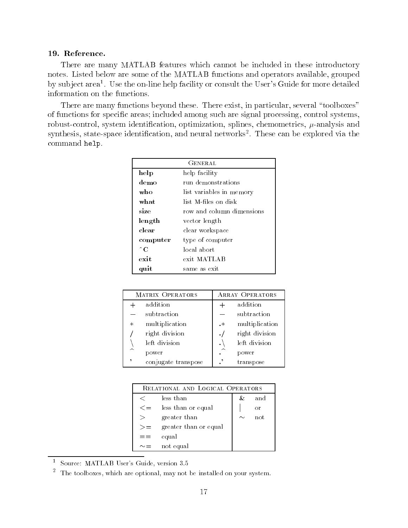#### 19. Reference.

There are many MATLAB features which cannot be included in these introductory notes. Listed below are some of the MATLAB functions and operators available, grouped by subject area<sup>1</sup>. Use the on-line help facility or consult the User's Guide for more detailed information on the functions.

There are many functions beyond these. There exist, in particular, several "toolboxes" of functions for specic areas; included among such are signal processing, control systems, robust-control, system identification, optimization, splines, chemometrics,  $\mu$ -analysis and synthesis, state-space identification, and neural networks . I hese can be explored via the command help.

| <b>GENERAL</b> |                           |  |
|----------------|---------------------------|--|
| help           | help facility             |  |
| demo           | run demonstrations        |  |
| who            | list variables in memory  |  |
| what           | list M-files on disk      |  |
| size           | row and column dimensions |  |
| length         | vector length             |  |
| clear          | clear workspace           |  |
| computer       | type of computer          |  |
| $~^\circ$ C    | local abort               |  |
| exit           | exit MATLAB               |  |
| quit           | same as exit              |  |

| <b>MATRIX OPERATORS</b> |                     | <b>ARRAY OPERATORS</b> |                |
|-------------------------|---------------------|------------------------|----------------|
|                         | addition            |                        | addition       |
|                         | subtraction         |                        | subtraction    |
| $\ast$                  | multiplication      | $.*$                   | multiplication |
|                         | right division      | $\cdot$ /              | right division |
|                         | left division       | $\bullet$              | left division  |
|                         | power               | ⌒                      | power          |
| ٠                       | conjugate transpose |                        | transpose      |

| RELATIONAL AND LOGICAL OPERATORS |                       |     |                       |
|----------------------------------|-----------------------|-----|-----------------------|
|                                  | less than             | Xz. | and                   |
| $\leq$ $=$                       | less than or equal    |     | $\Omega$ <sup>r</sup> |
| $\geq$                           | greater than          |     | not                   |
|                                  | greater than or equal |     |                       |
|                                  | equal                 |     |                       |
|                                  | not equal             |     |                       |

<sup>1</sup> Source: MATLAB User's Guide, version 3.5

<sup>2</sup> The toolboxes, which are optional, may not be installed on your system.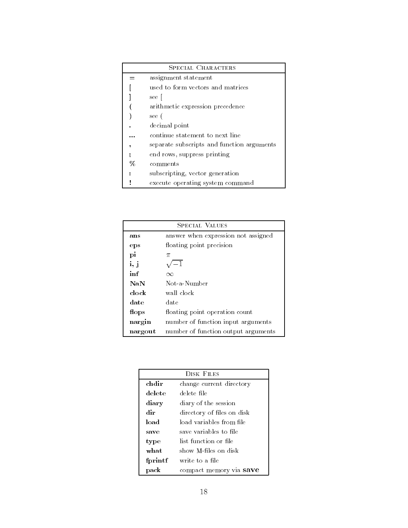|   | SPECIAL CHARACTERS                         |
|---|--------------------------------------------|
|   | assignment statement                       |
|   | used to form vectors and matrices          |
|   | see                                        |
|   | arithmetic expression precedence           |
|   | see (                                      |
|   | decimal point                              |
|   | continue statement to next line            |
| , | separate subscripts and function arguments |
|   | end rows, suppress printing                |
| ℅ | comments                                   |
|   | subscripting, vector generation            |
|   | execute operating system command           |

| <b>SPECIAL VALUES</b> |                                     |  |
|-----------------------|-------------------------------------|--|
| ans                   | answer when expression not assigned |  |
| eps                   | floating point precision            |  |
| рi                    | π                                   |  |
| i, j                  | $\sqrt{-1}$                         |  |
| inf                   | $\infty$                            |  |
| $\rm NaN$             | Not-a-Number                        |  |
| clock                 | wall clock                          |  |
| date                  | date                                |  |
| <b>Hops</b>           | floating point operation count      |  |
| nargin                | number of function input arguments  |  |
| nargout               | number of function output arguments |  |

|         | <b>DISK FILES</b>              |
|---------|--------------------------------|
| chdir   | change current directory       |
| delete  | delete file                    |
| diary   | diary of the session           |
| dir     | directory of files on disk     |
| load    | load variables from file       |
| save    | save variables to file         |
| type    | list function or file          |
| what    | show M-files on disk           |
| fprintf | write to a file                |
| pack    | compact memory via <b>save</b> |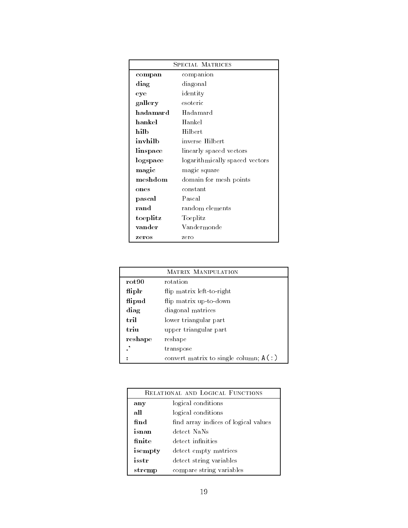|                 | SPECIAL MATRICES               |
|-----------------|--------------------------------|
| compan          | companion                      |
| diag            | diagonal                       |
| eye             | identity                       |
| gallery         | esoteric                       |
| hadamard        | Hadamard                       |
| hankel          | Hankel                         |
| hilb            | Hilbert                        |
| invhilb         | inverse Hilbert                |
| linspace        | linearly spaced vectors        |
| logspace        | logarithmically spaced vectors |
| magic           | magic square                   |
| ${\bf meshdom}$ | domain for mesh points         |
| ones            | constant                       |
| pascal          | Pascal                         |
| rand            | random elements                |
| toeplitz        | Toeplitz                       |
| vander          | Vandermonde                    |
| zeros           | zero                           |

|                      | MATRIX MANIPULATION                       |
|----------------------|-------------------------------------------|
| rot90                | rotation                                  |
| fliplr               | flip matrix left-to-right                 |
| flipud               | flip matrix up-to-down                    |
| diag                 | diagonal matrices                         |
| tril                 | lower triangular part                     |
| triu                 | upper triangular part                     |
| reshape              | reshape                                   |
| $\cdot$ <sup>3</sup> | transpose                                 |
|                      | convert matrix to single column; $A$ (: ) |

| RELATIONAL AND LOGICAL FUNCTIONS |                                      |
|----------------------------------|--------------------------------------|
| any                              | logical conditions                   |
| яH                               | logical conditions                   |
| find                             | find array indices of logical values |
| isnan                            | detect NaNs                          |
| finite                           | detect infinities                    |
| isempty                          | detect empty matrices                |
| isstr                            | detect string variables              |
| $_{\rm \small stremp}$           | compare string variables             |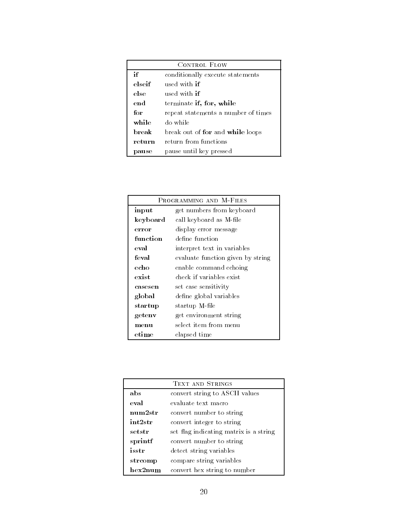| CONTROL FLOW      |                                         |
|-------------------|-----------------------------------------|
| if                | conditionally execute statements        |
| elseif            | used with <b>if</b>                     |
| else              | used with if                            |
| $_{\mathrm{end}}$ | terminate if, for, while                |
| for               | repeat statements a number of times     |
| while             | do while                                |
| break             | break out of <b>for</b> and while loops |
| return            | return from functions                   |
| pause             | pause until key pressed                 |

| PROGRAMMING AND M-FILES |                                   |
|-------------------------|-----------------------------------|
|                         |                                   |
| input                   | get numbers from keyboard         |
| keyboard                | call keyboard as M-file           |
| error                   | display error message             |
| function                | define function                   |
| eval                    | interpret text in variables       |
| feval                   | evaluate function given by string |
| echo                    | enable command echoing            |
| exist                   | check if variables exist          |
| casesen                 | set case sensitivity              |
| global                  | define global variables           |
| startup                 | startup M-file                    |
| getenv                  | get environment string            |
| menu                    | select item from menu             |
| etime                   | elapsed time                      |

|         | TEXT AND STRINGS                       |
|---------|----------------------------------------|
| abs     | convert string to ASCII values         |
| eval    | evaluate text macro                    |
| num2str | convert number to string               |
| int2str | convert integer to string              |
| setstr  | set flag indicating matrix is a string |
| sprintf | convert number to string               |
| isstr   | detect string variables                |
| strcomp | compare string variables               |
| hex2num | convert hex string to number           |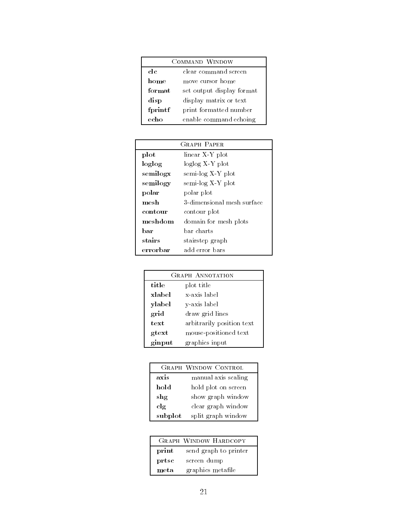| COMMAND WINDOW |                           |
|----------------|---------------------------|
| e le           | clear command screen      |
| home           | move cursor home          |
| format         | set output display format |
| $\bf disp$     | display matrix or text    |
| fprintf        | print formatted number    |
| echo           | enable command echoing    |

|                 | <b>GRAPH PAPER</b>         |
|-----------------|----------------------------|
| plot            | linear X-Y plot            |
| loglog          | $loglog X-Y$ plot          |
| semilogx        | semi-log X-Y plot          |
| semilogy        | semi-log X-Y plot          |
| polar           | polar plot                 |
| mesh            | 3-dimensional mesh surface |
| contour         | contour plot               |
| ${\bf meshdom}$ | domain for mesh plots      |
| har             | bar charts                 |
| stairs          | stairstep graph            |
| errorbar        | add error bars             |

| <b>GRAPH ANNOTATION</b> |                           |
|-------------------------|---------------------------|
| title                   | plot title                |
| xlabel                  | x-axis label              |
| vlabel                  | y-axis label              |
| grid                    | draw grid lines           |
| text                    | arbitrarily position text |
| gtext                   | mouse-positioned text     |
| ginput                  | graphics input            |

|               | <b>GRAPH WINDOW CONTROL</b> |
|---------------|-----------------------------|
| axis          | manual axis scaling         |
| hold          | hold plot on screen         |
| $\sin g$      | show graph window           |
| $_{\rm{clg}}$ | clear graph window          |
| subplot       | split graph window          |

|       | <b>GRAPH WINDOW HARDCOPY</b> |
|-------|------------------------------|
| print | send graph to printer        |
| prtsc | screen dump                  |
| meta  | graphics metafile            |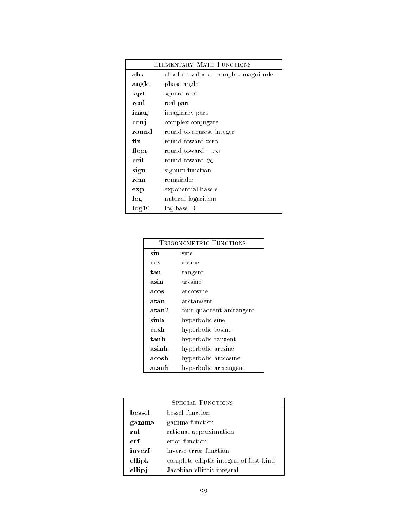|       | ELEMENTARY MATH FUNCTIONS           |
|-------|-------------------------------------|
| abs   | absolute value or complex magnitude |
| angle | phase angle                         |
| sqrt  | square root                         |
| real  | real part                           |
| imag  | imaginary part                      |
| conj  | complex conjugate                   |
| round | round to nearest integer            |
| fix   | round toward zero                   |
| floor | round toward $-\infty$              |
| ceil  | round toward $\infty$               |
| sign  | signum function                     |
| rem   | remainder                           |
| exp   | exponential base e                  |
| log   | natural logarithm                   |
| log10 | log base 10                         |

| Trigonometric Functions |                          |
|-------------------------|--------------------------|
| sin                     | sine                     |
| cos                     | cosine                   |
| tan                     | tangent                  |
| $\mathbf{asin}\$        | arcsine                  |
| acos                    | arccosine                |
| atan                    | arctangent               |
| atan2                   | four quadrant arctangent |
| sinh                    | hyperbolic sine          |
| $\cosh$                 | hyperbolic cosine        |
| tanh                    | hyperbolic tangent       |
| asinh                   | hyperbolic arcsine       |
| acosh                   | hyperbolic arccosine     |
| atanh                   | hyperbolic arctangent    |

|        | SPECIAL FUNCTIONS                        |
|--------|------------------------------------------|
| bessel | bessel function                          |
| gamma  | gamma function                           |
| rat    | rational approximation                   |
| erf    | error function                           |
| inverf | inverse error function                   |
| ellipk | complete elliptic integral of first kind |
| ellipj | Jacobian elliptic integral               |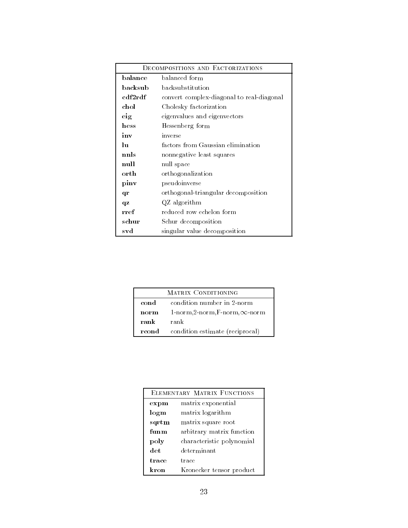| DECOMPOSITIONS AND FACTORIZATIONS |                                           |
|-----------------------------------|-------------------------------------------|
| balance                           | balanced form                             |
| backsub                           | backsubstitution                          |
| $\operatorname{cdf2rdf}$          | convert complex-diagonal to real-diagonal |
| chol                              | Cholesky factorization                    |
| eig                               | eigenvalues and eigenvectors              |
| hess                              | Hessenberg form                           |
| inv                               | inverse                                   |
| lu                                | factors from Gaussian elimination         |
| nnls                              | nonnegative least squares                 |
| null                              | null space                                |
| $\bold{or}\bold{th}$              | orthogonalization                         |
| piny                              | pseudoinverse                             |
| $\mathbf{q}$ r                    | orthogonal-triangular decomposition       |
| qz                                | QZ algorithm                              |
| $_{\rm rref}$                     | reduced row echelon form                  |
| schur                             | Schur decomposition                       |
| s vd                              | singular value decomposition              |

|              | MATRIX CONDITIONING                             |
|--------------|-------------------------------------------------|
| cond         | condition number in 2-norm                      |
| norm         | $1$ -norm, $2$ -norm, $F$ -norm, $\infty$ -norm |
| rank         | rank                                            |
| $\bf{rcond}$ | condition estimate (reciprocal)                 |

| ELEMENTARY MATRIX FUNCTIONS |                           |
|-----------------------------|---------------------------|
| expm                        | matrix exponential        |
| log <sub>m</sub>            | matrix logarithm          |
| $sqrt{1}$                   | matrix square root        |
| քսոտ                        | arbitrary matrix function |
| poly                        | characteristic polynomial |
| det                         | determinant               |
| trace                       | trace                     |
| kron                        | Kronecker tensor product  |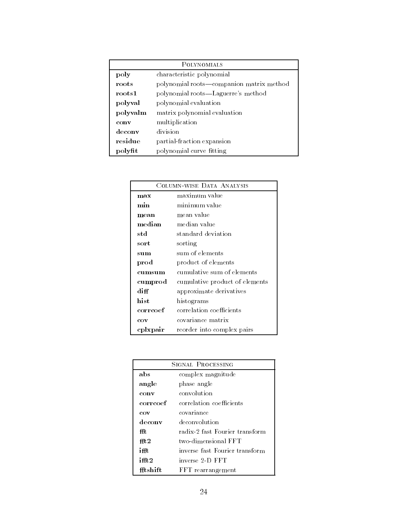|                    | POLYNOMIALS                              |
|--------------------|------------------------------------------|
| poly               | characteristic polynomial                |
| roots              | polynomial roots-companion matrix method |
| roots <sub>1</sub> | polynomial roots—Laguerre's method       |
| polyval            | polynomial evaluation                    |
| polyvalm           | matrix polynomial evaluation             |
| conv               | multiplication                           |
| deconv             | division                                 |
| residue            | partial-fraction expansion               |
| polyfit            | polynomial curve fitting                 |

| COLUMN-WISE DATA ANALYSIS      |
|--------------------------------|
| maximum value                  |
| minimum value                  |
| mean value                     |
| median value                   |
| standard deviation             |
| sorting                        |
| sum of elements                |
| product of elements            |
| cumulative sum of elements     |
| cumulative product of elements |
| approximate derivatives        |
| histograms                     |
| correlation coefficients       |
| covariance matrix              |
| reorder into complex pairs     |
|                                |

|          | SIGNAL PROCESSING              |
|----------|--------------------------------|
| abs      | complex magnitude              |
| angle    | phase angle                    |
| conv     | convolution                    |
| corrcoef | correlation coefficients       |
| cov      | covariance                     |
| deconv   | deconvolution                  |
| fft      | radix-2 fast Fourier transform |
| fft2     | two-dimensional FFT            |
| ifft     | inverse fast Fourier transform |
| ifft2    | inverse 2-D FFT                |
| fftshift | FFT rearrangement              |